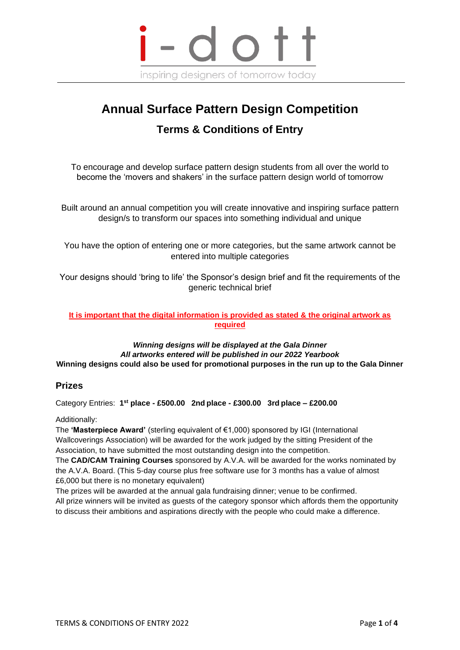

# **Annual Surface Pattern Design Competition Terms & Conditions of Entry**

To encourage and develop surface pattern design students from all over the world to become the 'movers and shakers' in the surface pattern design world of tomorrow

Built around an annual competition you will create innovative and inspiring surface pattern design/s to transform our spaces into something individual and unique

You have the option of entering one or more categories, but the same artwork cannot be entered into multiple categories

Your designs should 'bring to life' the Sponsor's design brief and fit the requirements of the generic technical brief

#### **It is important that the digital information is provided as stated & the original artwork as required**

*Winning designs will be displayed at the Gala Dinner All artworks entered will be published in our 2022 Yearbook* **Winning designs could also be used for promotional purposes in the run up to the Gala Dinner**

## **Prizes**

Category Entries: **1 st place - £500.00 2nd place - £300.00 3rd place – £200.00**

Additionally:

The **'Masterpiece Award'** (sterling equivalent of €1,000) sponsored by IGI (International Wallcoverings Association) will be awarded for the work judged by the sitting President of the Association, to have submitted the most outstanding design into the competition.

The **CAD/CAM Training Courses** sponsored by A.V.A. will be awarded for the works nominated by the A.V.A. Board. (This 5-day course plus free software use for 3 months has a value of almost £6,000 but there is no monetary equivalent)

The prizes will be awarded at the annual gala fundraising dinner; venue to be confirmed. All prize winners will be invited as guests of the category sponsor which affords them the opportunity to discuss their ambitions and aspirations directly with the people who could make a difference.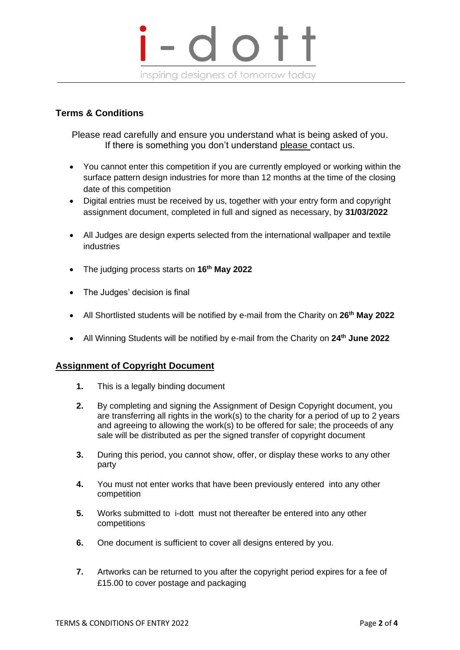

## **Terms & Conditions**

Please read carefully and ensure you understand what is being asked of you. If there is something you don't understand please contact us.

- You cannot enter this competition if you are currently employed or working within the surface pattern design industries for more than 12 months at the time of the closing date of this competition
- Digital entries must be received by us, together with your entry form and copyright assignment document, completed in full and signed as necessary, by **31/03/2022**
- All Judges are design experts selected from the international wallpaper and textile industries
- The judging process starts on **16th May 2022**
- The Judges' decision is final
- All Shortlisted students will be notified by e-mail from the Charity on **26th May 2022**
- All Winning Students will be notified by e-mail from the Charity on **24th June 2022**

## **Assignment of Copyright Document**

- **1.** This is a legally binding document
- **2.** By completing and signing the Assignment of Design Copyright document, you are transferring all rights in the work(s) to the charity for a period of up to 2 years and agreeing to allowing the work(s) to be offered for sale; the proceeds of any sale will be distributed as per the signed transfer of copyright document
- **3.** During this period, you cannot show, offer, or display these works to any other party
- **4.** You must not enter works that have been previously entered into any other competition
- **5.** Works submitted to i-dott must not thereafter be entered into any other competitions
- **6.** One document is sufficient to cover all designs entered by you.
- **7.** Artworks can be returned to you after the copyright period expires for a fee of £15.00 to cover postage and packaging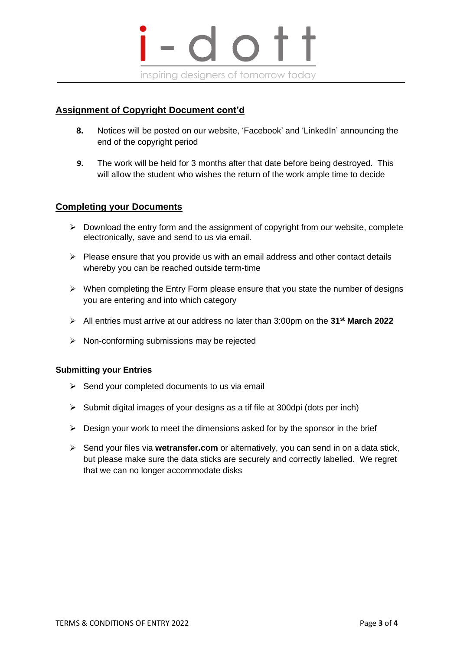

## **Assignment of Copyright Document cont'd**

- **8.** Notices will be posted on our website, 'Facebook' and 'LinkedIn' announcing the end of the copyright period
- **9.** The work will be held for 3 months after that date before being destroyed. This will allow the student who wishes the return of the work ample time to decide

#### **Completing your Documents**

- $\triangleright$  Download the entry form and the assignment of copyright from our website, complete electronically, save and send to us via email.
- $\triangleright$  Please ensure that you provide us with an email address and other contact details whereby you can be reached outside term-time
- ➢ When completing the Entry Form please ensure that you state the number of designs you are entering and into which category
- ➢ All entries must arrive at our address no later than 3:00pm on the **31st March 2022**
- ➢ Non-conforming submissions may be rejected

#### **Submitting your Entries**

- $\triangleright$  Send your completed documents to us via email
- $\triangleright$  Submit digital images of your designs as a tif file at 300dpi (dots per inch)
- $\triangleright$  Design your work to meet the dimensions asked for by the sponsor in the brief
- ➢ Send your files via **wetransfer.com** or alternatively, you can send in on a data stick, but please make sure the data sticks are securely and correctly labelled. We regret that we can no longer accommodate disks